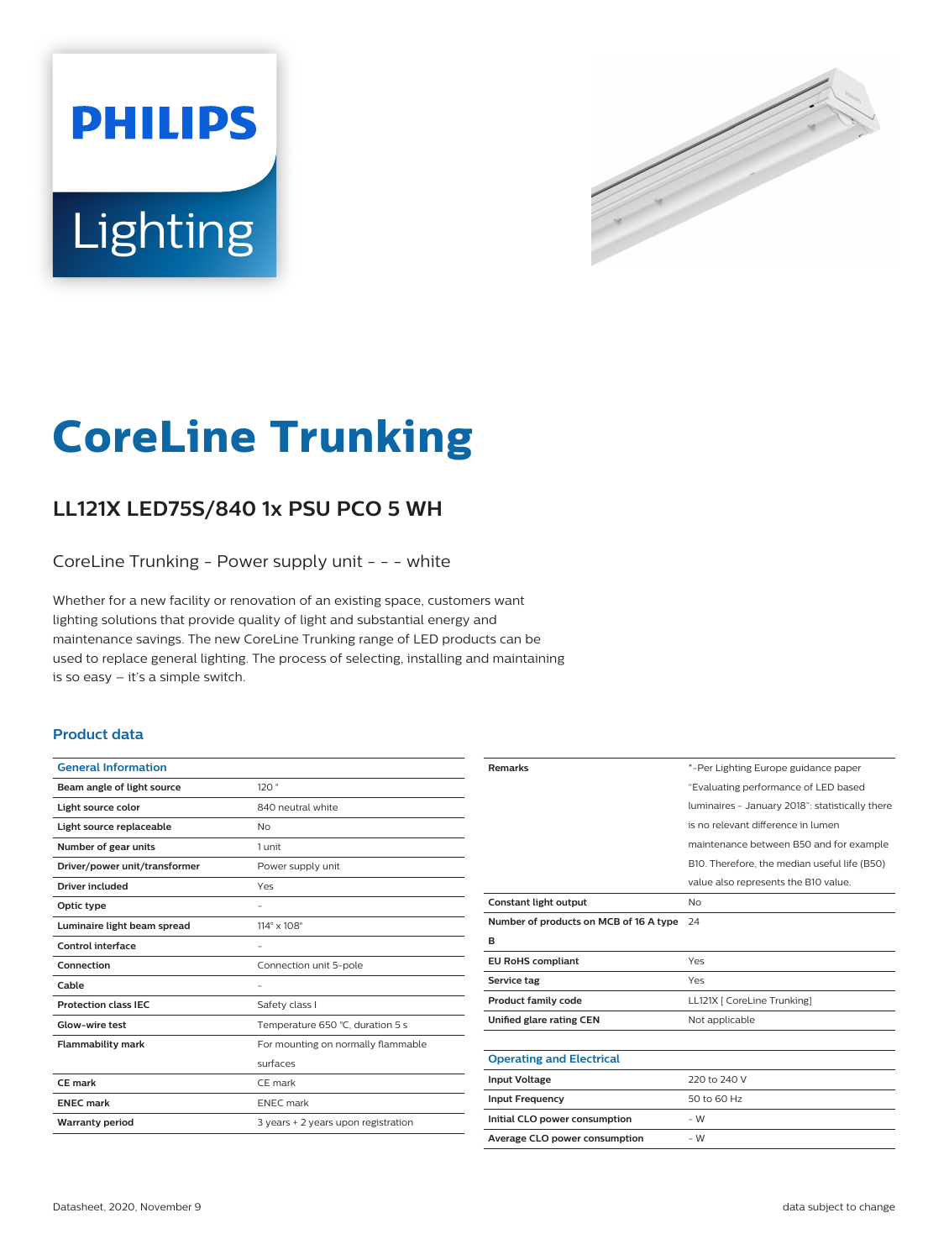



# **CoreLine Trunking**

## **LL121X LED75S/840 1x PSU PCO 5 WH**

CoreLine Trunking - Power supply unit - - - white

Whether for a new facility or renovation of an existing space, customers want lighting solutions that provide quality of light and substantial energy and maintenance savings. The new CoreLine Trunking range of LED products can be used to replace general lighting. The process of selecting, installing and maintaining is so easy – it's a simple switch.

#### **Product data**

| <b>General Information</b>    |                                     |
|-------------------------------|-------------------------------------|
| Beam angle of light source    | 120°                                |
| Light source color            | 840 neutral white                   |
| Light source replaceable      | <b>No</b>                           |
| Number of gear units          | 1 unit                              |
| Driver/power unit/transformer | Power supply unit                   |
| <b>Driver included</b>        | Yes                                 |
| Optic type                    |                                     |
| Luminaire light beam spread   | $114^\circ \times 108^\circ$        |
| Control interface             |                                     |
| Connection                    | Connection unit 5-pole              |
| Cable                         |                                     |
| <b>Protection class IEC</b>   | Safety class I                      |
| Glow-wire test                | Temperature 650 °C, duration 5 s    |
| <b>Flammability mark</b>      | For mounting on normally flammable  |
|                               | surfaces                            |
| CE mark                       | CE mark                             |
| <b>ENEC mark</b>              | <b>ENEC</b> mark                    |
| <b>Warranty period</b>        | 3 years + 2 years upon registration |
|                               |                                     |

| <b>Remarks</b>                         | *-Per Lighting Europe guidance paper            |
|----------------------------------------|-------------------------------------------------|
|                                        | "Evaluating performance of LED based            |
|                                        | luminaires - January 2018": statistically there |
|                                        | is no relevant difference in lumen              |
|                                        | maintenance between B50 and for example         |
|                                        | B10. Therefore, the median useful life (B50)    |
|                                        | value also represents the B10 value.            |
| <b>Constant light output</b>           | No                                              |
| Number of products on MCB of 16 A type | 24                                              |
| в                                      |                                                 |
| <b>EU RoHS compliant</b>               | Yes                                             |
| Service tag                            | Yes                                             |
| <b>Product family code</b>             | LL121X [ CoreLine Trunking]                     |
| Unified glare rating CEN               | Not applicable                                  |
|                                        |                                                 |
| <b>Operating and Electrical</b>        |                                                 |
| <b>Input Voltage</b>                   | 220 to 240 V                                    |
| <b>Input Frequency</b>                 | 50 to 60 Hz                                     |
| Initial CLO power consumption          | - W                                             |
| Average CLO power consumption          | - W                                             |
|                                        |                                                 |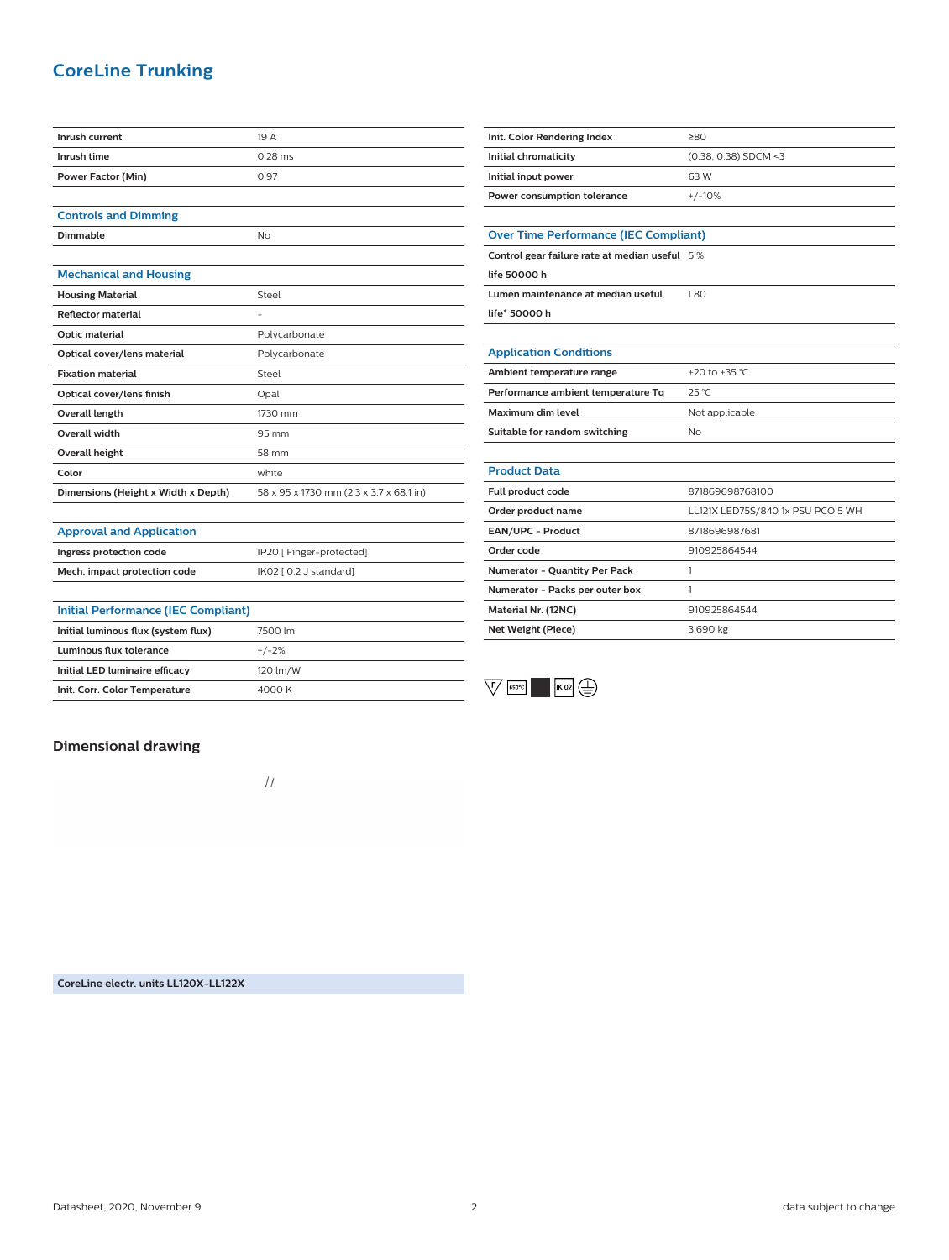## **CoreLine Trunking**

| Inrush current                      | 19 A                                    |
|-------------------------------------|-----------------------------------------|
| Inrush time                         | $0.28$ ms                               |
| Power Factor (Min)                  | 0.97                                    |
|                                     |                                         |
| <b>Controls and Dimming</b>         |                                         |
| Dimmable                            | <b>No</b>                               |
|                                     |                                         |
| <b>Mechanical and Housing</b>       |                                         |
| <b>Housing Material</b>             | Steel                                   |
| <b>Reflector material</b>           | $\overline{\phantom{0}}$                |
| Optic material                      | Polycarbonate                           |
| Optical cover/lens material         | Polycarbonate                           |
| <b>Fixation material</b>            | Steel                                   |
| Optical cover/lens finish           | Opal                                    |
| <b>Overall length</b>               | 1730 mm                                 |
| Overall width                       | 95 mm                                   |
| <b>Overall height</b>               | 58 mm                                   |
| Color                               | white                                   |
| Dimensions (Height x Width x Depth) | 58 x 95 x 1730 mm (2.3 x 3.7 x 68.1 in) |
|                                     |                                         |
| <b>Approval and Application</b>     |                                         |
| Ingress protection code             | IP20 [ Finger-protected]                |

**Mech. impact protection code** IK02 [ 0.2 J standard]

| Init. Color Rendering Index                   | ≥80                               |  |
|-----------------------------------------------|-----------------------------------|--|
| Initial chromaticity                          | (0.38, 0.38) SDCM <3              |  |
| Initial input power                           | 63W                               |  |
| Power consumption tolerance                   | $+/-10%$                          |  |
|                                               |                                   |  |
| <b>Over Time Performance (IEC Compliant)</b>  |                                   |  |
| Control gear failure rate at median useful 5% |                                   |  |
| life 50000 h                                  |                                   |  |
| Lumen maintenance at median useful            | 1.80                              |  |
| life* 50000 h                                 |                                   |  |
|                                               |                                   |  |
| <b>Application Conditions</b>                 |                                   |  |
| Ambient temperature range                     | +20 to +35 °C                     |  |
| Performance ambient temperature Tq            | 25 °C                             |  |
| Maximum dim level                             | Not applicable                    |  |
| Suitable for random switching                 | N <sub>o</sub>                    |  |
|                                               |                                   |  |
| <b>Product Data</b>                           |                                   |  |
| Full product code                             | 871869698768100                   |  |
| Order product name                            | LL121X LED75S/840 1x PSU PCO 5 WH |  |
| EAN/UPC - Product                             | 8718696987681                     |  |
| Order code                                    | 910925864544                      |  |
| Numerator - Quantity Per Pack                 | 1                                 |  |
| Numerator - Packs per outer box               | 1                                 |  |
| Material Nr. (12NC)                           | 910925864544                      |  |
| <b>Net Weight (Piece)</b>                     | 3.690 kg                          |  |
|                                               |                                   |  |



#### **Dimensional drawing**

**Initial Performance (IEC Compliant) Initial luminous flux (system flux)** 7500 lm **Luminous flux tolerance** +/-2% **Initial LED luminaire efficacy** 120 lm/W **Init. Corr. Color Temperature** 4000 K

 $\frac{1}{2}$ 

**CoreLine electr. units LL120X-LL122X**